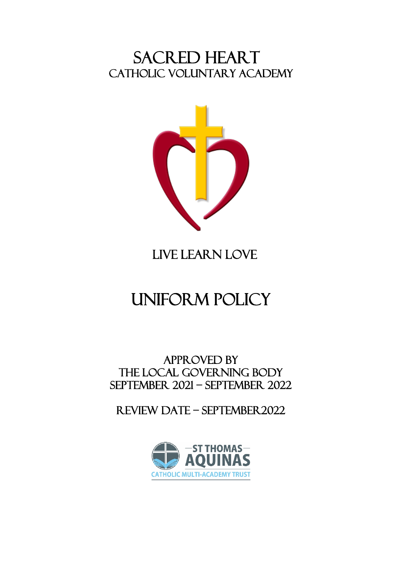SACRED HEART<br>CATHOLIC VOLUNTARY ACADEMY



# LIVE LEARN LOVE

# uniform policy

APPROVED BY THE local GOVERNING BODY September 2021 – September 2022

Review date – september2022

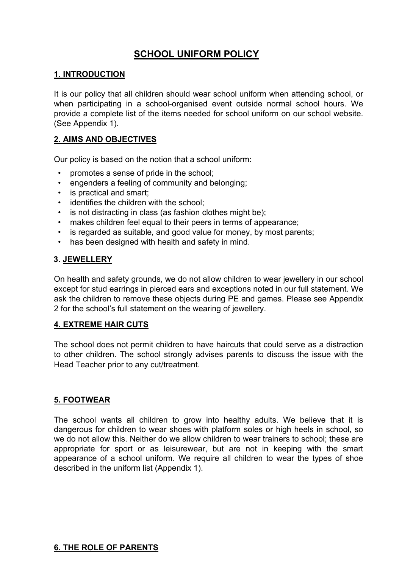# **SCHOOL UNIFORM POLICY**

#### **1. INTRODUCTION**

It is our policy that all children should wear school uniform when attending school, or when participating in a school-organised event outside normal school hours. We provide a complete list of the items needed for school uniform on our school website. (See Appendix 1).

#### **2. AIMS AND OBJECTIVES**

Our policy is based on the notion that a school uniform:

- promotes a sense of pride in the school;
- engenders a feeling of community and belonging:
- is practical and smart:
- identifies the children with the school;
- is not distracting in class (as fashion clothes might be);
- makes children feel equal to their peers in terms of appearance;
- is regarded as suitable, and good value for money, by most parents;
- has been designed with health and safety in mind.

#### **3. JEWELLERY**

On health and safety grounds, we do not allow children to wear jewellery in our school except for stud earrings in pierced ears and exceptions noted in our full statement. We ask the children to remove these objects during PE and games. Please see Appendix 2 for the school's full statement on the wearing of jewellery.

#### **4. EXTREME HAIR CUTS**

The school does not permit children to have haircuts that could serve as a distraction to other children. The school strongly advises parents to discuss the issue with the Head Teacher prior to any cut/treatment.

#### **5. FOOTWEAR**

The school wants all children to grow into healthy adults. We believe that it is dangerous for children to wear shoes with platform soles or high heels in school, so we do not allow this. Neither do we allow children to wear trainers to school; these are appropriate for sport or as leisurewear, but are not in keeping with the smart appearance of a school uniform. We require all children to wear the types of shoe described in the uniform list (Appendix 1).

#### **6. THE ROLE OF PARENTS**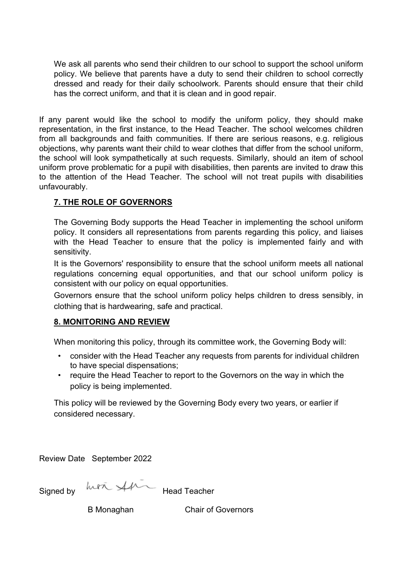We ask all parents who send their children to our school to support the school uniform policy. We believe that parents have a duty to send their children to school correctly dressed and ready for their daily schoolwork. Parents should ensure that their child has the correct uniform, and that it is clean and in good repair.

If any parent would like the school to modify the uniform policy, they should make representation, in the first instance, to the Head Teacher. The school welcomes children from all backgrounds and faith communities. If there are serious reasons, e.g. religious objections, why parents want their child to wear clothes that differ from the school uniform, the school will look sympathetically at such requests. Similarly, should an item of school uniform prove problematic for a pupil with disabilities, then parents are invited to draw this to the attention of the Head Teacher. The school will not treat pupils with disabilities unfavourably.

# **7. THE ROLE OF GOVERNORS**

The Governing Body supports the Head Teacher in implementing the school uniform policy. It considers all representations from parents regarding this policy, and liaises with the Head Teacher to ensure that the policy is implemented fairly and with sensitivity.

It is the Governors' responsibility to ensure that the school uniform meets all national regulations concerning equal opportunities, and that our school uniform policy is consistent with our policy on equal opportunities.

Governors ensure that the school uniform policy helps children to dress sensibly, in clothing that is hardwearing, safe and practical.

#### **8. MONITORING AND REVIEW**

When monitoring this policy, through its committee work, the Governing Body will:

- consider with the Head Teacher any requests from parents for individual children to have special dispensations;
- require the Head Teacher to report to the Governors on the way in which the policy is being implemented.

This policy will be reviewed by the Governing Body every two years, or earlier if considered necessary.

Review Date September 2022

Signed by  $ln 2 \times 1$  Head Teacher

B Monaghan Chair of Governors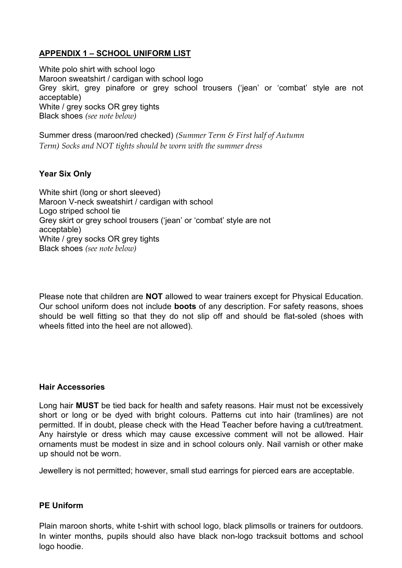# **APPENDIX 1 – SCHOOL UNIFORM LIST**

White polo shirt with school logo Maroon sweatshirt / cardigan with school logo Grey skirt, grey pinafore or grey school trousers ('jean' or 'combat' style are not acceptable) White / grey socks OR grey tights Black shoes *(see note below)*

Summer dress (maroon/red checked) *(Summer Term & First half of Autumn Term) Socks and NOT tights should be worn with the summer dress*

# **Year Six Only**

White shirt (long or short sleeved) Maroon V-neck sweatshirt / cardigan with school Logo striped school tie Grey skirt or grey school trousers ('jean' or 'combat' style are not acceptable) White / grey socks OR grey tights Black shoes *(see note below)*

Please note that children are **NOT** allowed to wear trainers except for Physical Education. Our school uniform does not include **boots** of any description. For safety reasons, shoes should be well fitting so that they do not slip off and should be flat-soled (shoes with wheels fitted into the heel are not allowed).

#### **Hair Accessories**

Long hair **MUST** be tied back for health and safety reasons. Hair must not be excessively short or long or be dyed with bright colours. Patterns cut into hair (tramlines) are not permitted. If in doubt, please check with the Head Teacher before having a cut/treatment. Any hairstyle or dress which may cause excessive comment will not be allowed. Hair ornaments must be modest in size and in school colours only. Nail varnish or other make up should not be worn.

Jewellery is not permitted; however, small stud earrings for pierced ears are acceptable.

#### **PE Uniform**

Plain maroon shorts, white t-shirt with school logo, black plimsolls or trainers for outdoors. In winter months, pupils should also have black non-logo tracksuit bottoms and school logo hoodie.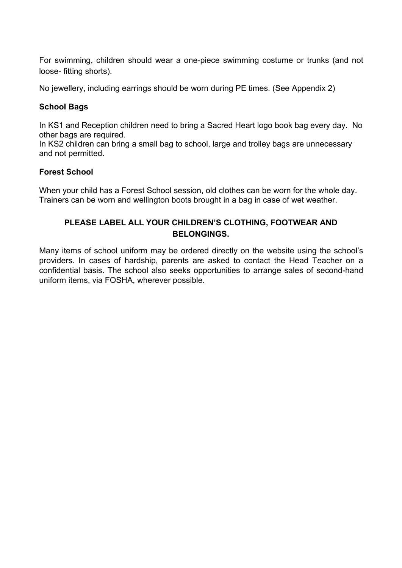For swimming, children should wear a one-piece swimming costume or trunks (and not loose- fitting shorts).

No jewellery, including earrings should be worn during PE times. (See Appendix 2)

#### **School Bags**

In KS1 and Reception children need to bring a Sacred Heart logo book bag every day. No other bags are required.

In KS2 children can bring a small bag to school, large and trolley bags are unnecessary and not permitted.

#### **Forest School**

When your child has a Forest School session, old clothes can be worn for the whole day. Trainers can be worn and wellington boots brought in a bag in case of wet weather.

# **PLEASE LABEL ALL YOUR CHILDREN'S CLOTHING, FOOTWEAR AND BELONGINGS.**

Many items of school uniform may be ordered directly on the website using the school's providers. In cases of hardship, parents are asked to contact the Head Teacher on a confidential basis. The school also seeks opportunities to arrange sales of second-hand uniform items, via FOSHA, wherever possible.